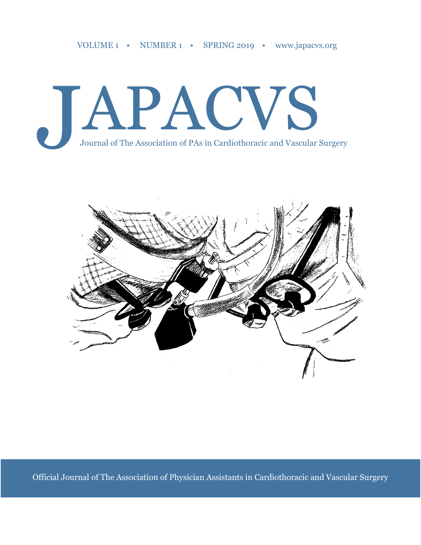



Official Journal of The Association of Physician Assistants in Cardiothoracic and Vascular Surgery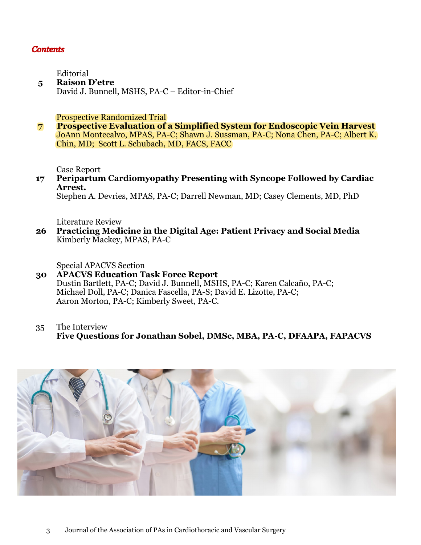#### **Contents**

Editorial

 **5 Raison D'etre** David J. Bunnell, MSHS, PA-C – Editor-in-Chief

Prospective Randomized Trial

 **7 Prospective Evaluation of a Simplified System for Endoscopic Vein Harvest** JoAnn Montecalvo, MPAS, PA-C; Shawn J. Sussman, PA-C; Nona Chen, PA-C; Albert K. Chin, MD; Scott L. Schubach, MD, FACS, FACC

Case Report

 **17 Peripartum Cardiomyopathy Presenting with Syncope Followed by Cardiac Arrest.**

Stephen A. Devries, MPAS, PA-C; Darrell Newman, MD; Casey Clements, MD, PhD

Literature Review

 **26 Practicing Medicine in the Digital Age: Patient Privacy and Social Media** Kimberly Mackey, MPAS, PA-C

Special APACVS Section

- **30 APACVS Education Task Force Report**  Dustin Bartlett, PA-C; David J. Bunnell, MSHS, PA-C; Karen Calcaño, PA-C; Michael Doll, PA-C; Danica Fascella, PA-S; David E. Lizotte, PA-C; Aaron Morton, PA-C; Kimberly Sweet, PA-C.
- 35 The Interview **Five Questions for Jonathan Sobel, DMSc, MBA, PA-C, DFAAPA, FAPACVS**

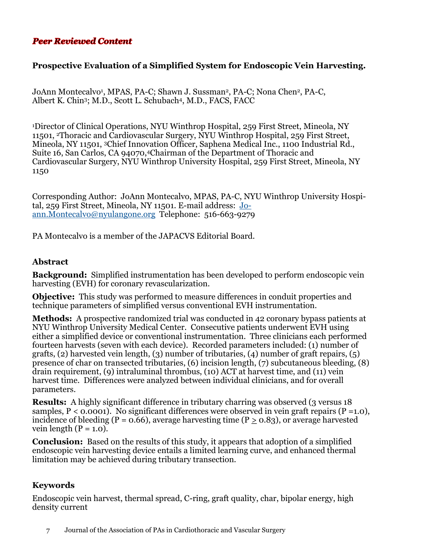# **Peer Reviewed Content**

# **Prospective Evaluation of a Simplified System for Endoscopic Vein Harvesting.**

JoAnn Montecalvo<sup>1</sup>, MPAS, PA-C; Shawn J. Sussman<sup>2</sup>, PA-C; Nona Chen<sup>2</sup>, PA-C, Albert K. Chin3; M.D., Scott L. Schubach4, M.D., FACS, FACC

<sup>1</sup>Director of Clinical Operations, NYU Winthrop Hospital, 259 First Street, Mineola, NY 11501, 2Thoracic and Cardiovascular Surgery, NYU Winthrop Hospital, 259 First Street, Mineola, NY 11501, 3Chief Innovation Officer, Saphena Medical Inc., 1100 Industrial Rd., Suite 16, San Carlos, CA 94070,4Chairman of the Department of Thoracic and Cardiovascular Surgery, NYU Winthrop University Hospital, 259 First Street, Mineola, NY 1150

Corresponding Author: JoAnn Montecalvo, MPAS, PA-C, NYU Winthrop University Hospital, 259 First Street, Mineola, NY 11501. E-mail address: [Jo](mailto:Joann.Montecalvo@nyulangone.org)[ann.Montecalvo@nyulangone.org](mailto:Joann.Montecalvo@nyulangone.org) Telephone: 516-663-9279

PA Montecalvo is a member of the JAPACVS Editorial Board.

#### **Abstract**

**Background:** Simplified instrumentation has been developed to perform endoscopic vein harvesting (EVH) for coronary revascularization.

**Objective:** This study was performed to measure differences in conduit properties and technique parameters of simplified versus conventional EVH instrumentation.

**Methods:** A prospective randomized trial was conducted in 42 coronary bypass patients at NYU Winthrop University Medical Center. Consecutive patients underwent EVH using either a simplified device or conventional instrumentation. Three clinicians each performed fourteen harvests (seven with each device). Recorded parameters included: (1) number of grafts, (2) harvested vein length, (3) number of tributaries, (4) number of graft repairs, (5) presence of char on transected tributaries, (6) incision length, (7) subcutaneous bleeding, (8) drain requirement, (9) intraluminal thrombus, (10) ACT at harvest time, and (11) vein harvest time. Differences were analyzed between individual clinicians, and for overall parameters.

**Results:** A highly significant difference in tributary charring was observed (3 versus 18) samples,  $P < 0.0001$ ). No significant differences were observed in vein graft repairs ( $P = 1.0$ ), incidence of bleeding (P = 0.66), average harvesting time (P  $\geq$  0.83), or average harvested vein length  $(P = 1.0)$ .

**Conclusion:** Based on the results of this study, it appears that adoption of a simplified endoscopic vein harvesting device entails a limited learning curve, and enhanced thermal limitation may be achieved during tributary transection.

#### **Keywords**

Endoscopic vein harvest, thermal spread, C-ring, graft quality, char, bipolar energy, high density current

7 Journal of the Association of PAs in Cardiothoracic and Vascular Surgery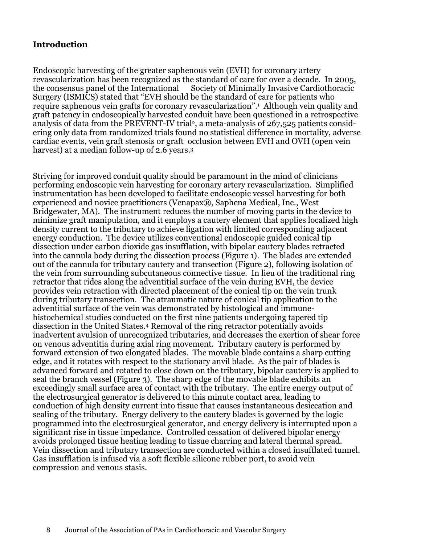# **Introduction**

Endoscopic harvesting of the greater saphenous vein (EVH) for coronary artery revascularization has been recognized as the standard of care for over a decade. In 2005, the consensus panel of the International Society of Minimally Invasive Cardiothoracic Surgery (ISMICS) stated that "EVH should be the standard of care for patients who require saphenous vein grafts for coronary revascularization".<sup>1</sup> Although vein quality and graft patency in endoscopically harvested conduit have been questioned in a retrospective analysis of data from the PREVENT-IV trial<sup>2</sup>, a meta-analysis of 267,525 patients considering only data from randomized trials found no statistical difference in mortality, adverse cardiac events, vein graft stenosis or graft occlusion between EVH and OVH (open vein harvest) at a median follow-up of 2.6 years.<sup>3</sup>

Striving for improved conduit quality should be paramount in the mind of clinicians performing endoscopic vein harvesting for coronary artery revascularization. Simplified instrumentation has been developed to facilitate endoscopic vessel harvesting for both experienced and novice practitioners (Venapax®, Saphena Medical, Inc., West Bridgewater, MA). The instrument reduces the number of moving parts in the device to minimize graft manipulation, and it employs a cautery element that applies localized high density current to the tributary to achieve ligation with limited corresponding adjacent energy conduction. The device utilizes conventional endoscopic guided conical tip dissection under carbon dioxide gas insufflation, with bipolar cautery blades retracted into the cannula body during the dissection process (Figure 1). The blades are extended out of the cannula for tributary cautery and transection (Figure 2), following isolation of the vein from surrounding subcutaneous connective tissue. In lieu of the traditional ring retractor that rides along the adventitial surface of the vein during EVH, the device provides vein retraction with directed placement of the conical tip on the vein trunk during tributary transection. The atraumatic nature of conical tip application to the adventitial surface of the vein was demonstrated by histological and immunehistochemical studies conducted on the first nine patients undergoing tapered tip dissection in the United States.<sup>4</sup> Removal of the ring retractor potentially avoids inadvertent avulsion of unrecognized tributaries, and decreases the exertion of shear force on venous adventitia during axial ring movement. Tributary cautery is performed by forward extension of two elongated blades. The movable blade contains a sharp cutting edge, and it rotates with respect to the stationary anvil blade. As the pair of blades is advanced forward and rotated to close down on the tributary, bipolar cautery is applied to seal the branch vessel (Figure 3). The sharp edge of the movable blade exhibits an exceedingly small surface area of contact with the tributary. The entire energy output of the electrosurgical generator is delivered to this minute contact area, leading to conduction of high density current into tissue that causes instantaneous desiccation and sealing of the tributary. Energy delivery to the cautery blades is governed by the logic programmed into the electrosurgical generator, and energy delivery is interrupted upon a significant rise in tissue impedance. Controlled cessation of delivered bipolar energy avoids prolonged tissue heating leading to tissue charring and lateral thermal spread. Vein dissection and tributary transection are conducted within a closed insufflated tunnel. Gas insufflation is infused via a soft flexible silicone rubber port, to avoid vein compression and venous stasis.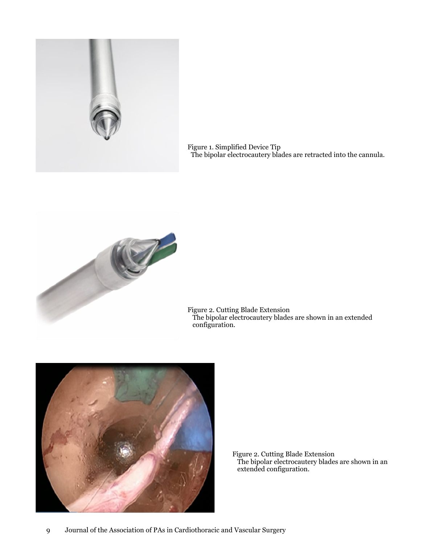

Figure 1. Simplified Device Tip The bipolar electrocautery blades are retracted into the cannula.



Figure 2. Cutting Blade Extension The bipolar electrocautery blades are shown in an extended configuration.



Figure 2. Cutting Blade Extension The bipolar electrocautery blades are shown in an extended configuration.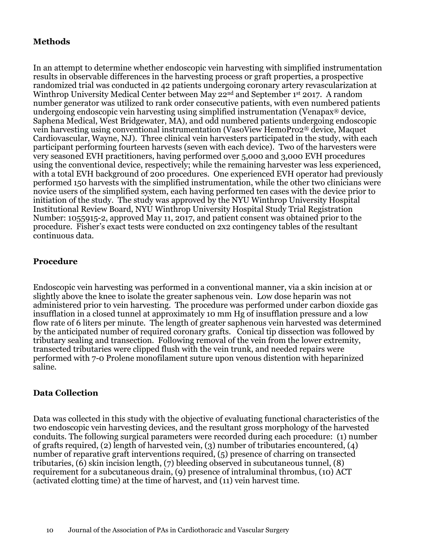# **Methods**

In an attempt to determine whether endoscopic vein harvesting with simplified instrumentation results in observable differences in the harvesting process or graft properties, a prospective randomized trial was conducted in 42 patients undergoing coronary artery revascularization at Winthrop University Medical Center between May 22<sup>nd</sup> and September 1st 2017. A random number generator was utilized to rank order consecutive patients, with even numbered patients undergoing endoscopic vein harvesting using simplified instrumentation (Venapax® device, Saphena Medical, West Bridgewater, MA), and odd numbered patients undergoing endoscopic vein harvesting using conventional instrumentation (VasoView HemoPro2® device, Maquet Cardiovascular, Wayne, NJ). Three clinical vein harvesters participated in the study, with each participant performing fourteen harvests (seven with each device). Two of the harvesters were very seasoned EVH practitioners, having performed over 5,000 and 3,000 EVH procedures using the conventional device, respectively; while the remaining harvester was less experienced, with a total EVH background of 200 procedures. One experienced EVH operator had previously performed 150 harvests with the simplified instrumentation, while the other two clinicians were novice users of the simplified system, each having performed ten cases with the device prior to initiation of the study. The study was approved by the NYU Winthrop University Hospital Institutional Review Board, NYU Winthrop University Hospital Study Trial Registration Number: 1055915-2, approved May 11, 2017, and patient consent was obtained prior to the procedure. Fisher's exact tests were conducted on 2x2 contingency tables of the resultant continuous data.

#### **Procedure**

Endoscopic vein harvesting was performed in a conventional manner, via a skin incision at or slightly above the knee to isolate the greater saphenous vein. Low dose heparin was not administered prior to vein harvesting. The procedure was performed under carbon dioxide gas insufflation in a closed tunnel at approximately 10 mm Hg of insufflation pressure and a low flow rate of 6 liters per minute. The length of greater saphenous vein harvested was determined by the anticipated number of required coronary grafts. Conical tip dissection was followed by tributary sealing and transection. Following removal of the vein from the lower extremity, transected tributaries were clipped flush with the vein trunk, and needed repairs were performed with 7-0 Prolene monofilament suture upon venous distention with heparinized saline.

#### **Data Collection**

Data was collected in this study with the objective of evaluating functional characteristics of the two endoscopic vein harvesting devices, and the resultant gross morphology of the harvested conduits. The following surgical parameters were recorded during each procedure: (1) number of grafts required, (2) length of harvested vein, (3) number of tributaries encountered, (4) number of reparative graft interventions required, (5) presence of charring on transected tributaries, (6) skin incision length, (7) bleeding observed in subcutaneous tunnel, (8) requirement for a subcutaneous drain, (9) presence of intraluminal thrombus, (10) ACT (activated clotting time) at the time of harvest, and (11) vein harvest time.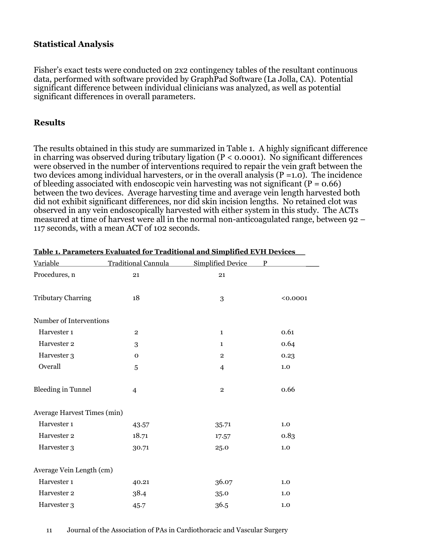### **Statistical Analysis**

Fisher's exact tests were conducted on 2x2 contingency tables of the resultant continuous data, performed with software provided by GraphPad Software (La Jolla, CA). Potential significant difference between individual clinicians was analyzed, as well as potential significant differences in overall parameters.

#### **Results**

The results obtained in this study are summarized in Table 1. A highly significant difference in charring was observed during tributary ligation  $(P < 0.0001)$ . No significant differences were observed in the number of interventions required to repair the vein graft between the two devices among individual harvesters, or in the overall analysis  $(P = 1.0)$ . The incidence of bleeding associated with endoscopic vein harvesting was not significant ( $P = 0.66$ ) between the two devices. Average harvesting time and average vein length harvested both did not exhibit significant differences, nor did skin incision lengths. No retained clot was observed in any vein endoscopically harvested with either system in this study. The ACTs measured at time of harvest were all in the normal non-anticoagulated range, between 92 – 117 seconds, with a mean ACT of 102 seconds.

| Variable                    | Traditional Cannula | <b>Simplified Device</b> | P        |  |  |  |  |
|-----------------------------|---------------------|--------------------------|----------|--|--|--|--|
| Procedures, n               | 21                  | 21                       |          |  |  |  |  |
|                             |                     |                          |          |  |  |  |  |
| <b>Tributary Charring</b>   | 18                  | 3                        | < 0.0001 |  |  |  |  |
|                             |                     |                          |          |  |  |  |  |
| Number of Interventions     |                     |                          |          |  |  |  |  |
| Harvester 1                 | $\overline{2}$      | $\mathbf{1}$             | 0.61     |  |  |  |  |
| Harvester 2                 | 3                   | $\mathbf{1}$             | 0.64     |  |  |  |  |
| Harvester 3                 | $\mathbf{O}$        | $\overline{2}$           | 0.23     |  |  |  |  |
| Overall                     | $\overline{5}$      | $\overline{4}$           | 1.0      |  |  |  |  |
|                             |                     |                          |          |  |  |  |  |
| <b>Bleeding in Tunnel</b>   | 4                   | $\overline{2}$           | 0.66     |  |  |  |  |
|                             |                     |                          |          |  |  |  |  |
| Average Harvest Times (min) |                     |                          |          |  |  |  |  |
| Harvester 1                 | 43.57               | 35.71                    | 1.0      |  |  |  |  |
| Harvester 2                 | 18.71               | 17.57                    | 0.83     |  |  |  |  |
| Harvester 3                 | 30.71               | 25.0                     | 1.0      |  |  |  |  |
|                             |                     |                          |          |  |  |  |  |
| Average Vein Length (cm)    |                     |                          |          |  |  |  |  |
| Harvester 1                 | 40.21               | 36.07                    | 1.0      |  |  |  |  |
| Harvester 2                 | 38.4                | 35.0                     | 1.0      |  |  |  |  |
| Harvester 3                 | 45.7                | 36.5                     | 1.0      |  |  |  |  |

|  | Table 1. Parameters Evaluated for Traditional and Simplified EVH Devices |  |
|--|--------------------------------------------------------------------------|--|
|  |                                                                          |  |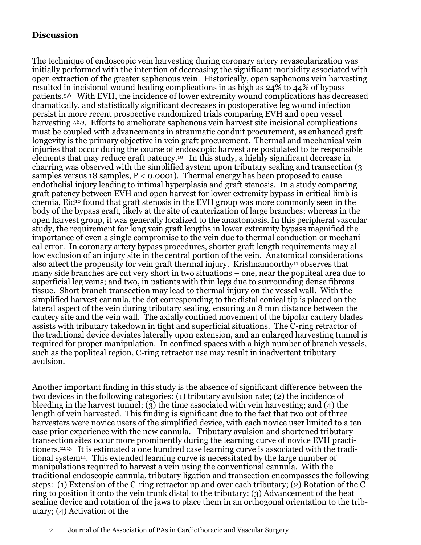# **Discussion**

The technique of endoscopic vein harvesting during coronary artery revascularization was initially performed with the intention of decreasing the significant morbidity associated with open extraction of the greater saphenous vein. Historically, open saphenous vein harvesting resulted in incisional wound healing complications in as high as 24% to 44% of bypass patients.5,6 With EVH, the incidence of lower extremity wound complications has decreased dramatically, and statistically significant decreases in postoperative leg wound infection persist in more recent prospective randomized trials comparing EVH and open vessel harvesting 7,8,9. Efforts to ameliorate saphenous vein harvest site incisional complications must be coupled with advancements in atraumatic conduit procurement, as enhanced graft longevity is the primary objective in vein graft procurement. Thermal and mechanical vein injuries that occur during the course of endoscopic harvest are postulated to be responsible elements that may reduce graft patency.10 In this study, a highly significant decrease in charring was observed with the simplified system upon tributary sealing and transection (3 samples versus 18 samples,  $P < 0.0001$ . Thermal energy has been proposed to cause endothelial injury leading to intimal hyperplasia and graft stenosis. In a study comparing graft patency between EVH and open harvest for lower extremity bypass in critical limb ischemia, Eid<sup>10</sup> found that graft stenosis in the EVH group was more commonly seen in the body of the bypass graft, likely at the site of cauterization of large branches; whereas in the open harvest group, it was generally localized to the anastomosis. In this peripheral vascular study, the requirement for long vein graft lengths in lower extremity bypass magnified the importance of even a single compromise to the vein due to thermal conduction or mechanical error. In coronary artery bypass procedures, shorter graft length requirements may allow exclusion of an injury site in the central portion of the vein. Anatomical considerations also affect the propensity for vein graft thermal injury. Krishnamoorthy<sup>11</sup> observes that many side branches are cut very short in two situations – one, near the popliteal area due to superficial leg veins; and two, in patients with thin legs due to surrounding dense fibrous tissue. Short branch transection may lead to thermal injury on the vessel wall. With the simplified harvest cannula, the dot corresponding to the distal conical tip is placed on the lateral aspect of the vein during tributary sealing, ensuring an 8 mm distance between the cautery site and the vein wall. The axially confined movement of the bipolar cautery blades assists with tributary takedown in tight and superficial situations. The C-ring retractor of the traditional device deviates laterally upon extension, and an enlarged harvesting tunnel is required for proper manipulation. In confined spaces with a high number of branch vessels, such as the popliteal region, C-ring retractor use may result in inadvertent tributary avulsion.

Another important finding in this study is the absence of significant difference between the two devices in the following categories: (1) tributary avulsion rate; (2) the incidence of bleeding in the harvest tunnel;  $(3)$  the time associated with vein harvesting; and  $(4)$  the length of vein harvested. This finding is significant due to the fact that two out of three harvesters were novice users of the simplified device, with each novice user limited to a ten case prior experience with the new cannula. Tributary avulsion and shortened tributary transection sites occur more prominently during the learning curve of novice EVH practitioners.12,13 It is estimated a one hundred case learning curve is associated with the traditional system14. This extended learning curve is necessitated by the large number of manipulations required to harvest a vein using the conventional cannula. With the traditional endoscopic cannula, tributary ligation and transection encompasses the following steps: (1) Extension of the C-ring retractor up and over each tributary; (2) Rotation of the Cring to position it onto the vein trunk distal to the tributary; (3) Advancement of the heat sealing device and rotation of the jaws to place them in an orthogonal orientation to the tributary; (4) Activation of the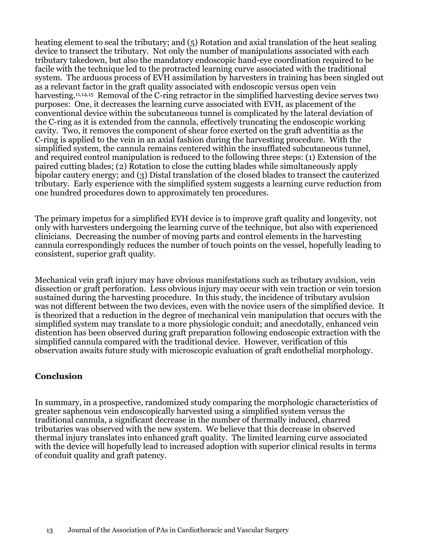heating element to seal the tributary; and (5) Rotation and axial translation of the heat sealing device to transect the tributary. Not only the number of manipulations associated with each tributary takedown, but also the mandatory endoscopic hand-eye coordination required to be facile with the technique led to the protracted learning curve associated with the traditional system. The arduous process of EVH assimilation by harvesters in training has been singled out as a relevant factor in the graft quality associated with endoscopic versus open vein harvesting.<sup>11,14,15</sup> Removal of the C-ring retractor in the simplified harvesting device serves two purposes: One, it decreases the learning curve associated with EVH, as placement of the conventional device within the subcutaneous tunnel is complicated by the lateral deviation of the C-ring as it is extended from the cannula, effectively truncating the endoscopic working cavity. Two, it removes the component of shear force exerted on the graft adventitia as the C-ring is applied to the vein in an axial fashion during the harvesting procedure. With the simplified system, the cannula remains centered within the insufflated subcutaneous tunnel, and required control manipulation is reduced to the following three steps: (1) Extension of the paired cutting blades; (2) Rotation to close the cutting blades while simultaneously apply bipolar cautery energy; and (3) Distal translation of the closed blades to transect the cauterized tributary. Early experience with the simplified system suggests a learning curve reduction from one hundred procedures down to approximately ten procedures.

The primary impetus for a simplified EVH device is to improve graft quality and longevity, not only with harvesters undergoing the learning curve of the technique, but also with experienced clinicians. Decreasing the number of moving parts and control elements in the harvesting cannula correspondingly reduces the number of touch points on the vessel, hopefully leading to consistent, superior graft quality.

Mechanical vein graft injury may have obvious manifestations such as tributary avulsion, vein dissection or graft perforation. Less obvious injury may occur with vein traction or vein torsion sustained during the harvesting procedure. In this study, the incidence of tributary avulsion was not different between the two devices, even with the novice users of the simplified device. It is theorized that a reduction in the degree of mechanical vein manipulation that occurs with the simplified system may translate to a more physiologic conduit; and anecdotally, enhanced vein distention has been observed during graft preparation following endoscopic extraction with the simplified cannula compared with the traditional device. However, verification of this observation awaits future study with microscopic evaluation of graft endothelial morphology.

#### **Conclusion**

In summary, in a prospective, randomized study comparing the morphologic characteristics of greater saphenous vein endoscopically harvested using a simplified system versus the traditional cannula, a significant decrease in the number of thermally induced, charred tributaries was observed with the new system. We believe that this decrease in observed thermal injury translates into enhanced graft quality. The limited learning curve associated with the device will hopefully lead to increased adoption with superior clinical results in terms of conduit quality and graft patency.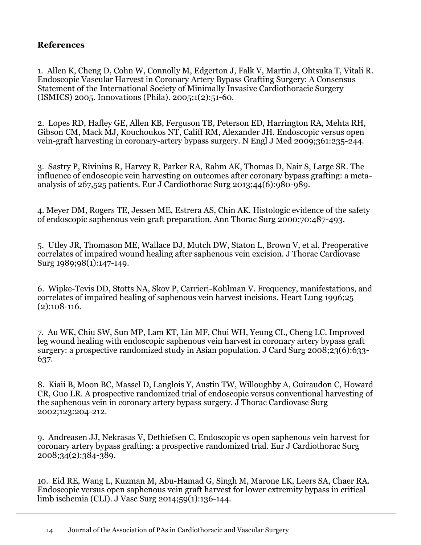### **References**

1. Allen K, Cheng D, Cohn W, Connolly M, Edgerton J, Falk V, Martin J, Ohtsuka T, Vitali R. Endoscopic Vascular Harvest in Coronary Artery Bypass Grafting Surgery: A Consensus Statement of the International Society of Minimally Invasive Cardiothoracic Surgery (ISMICS) 2005. Innovations (Phila). 2005;1(2):51-60.

2. Lopes RD, Hafley GE, Allen KB, Ferguson TB, Peterson ED, Harrington RA, Mehta RH, Gibson CM, Mack MJ, Kouchoukos NT, Califf RM, Alexander JH. Endoscopic versus open vein-graft harvesting in coronary-artery bypass surgery. N Engl J Med 2009;361:235-244.

3. Sastry P, Rivinius R, Harvey R, Parker RA, Rahm AK, Thomas D, Nair S, Large SR. The influence of endoscopic vein harvesting on outcomes after coronary bypass grafting: a metaanalysis of 267,525 patients. Eur J Cardiothorac Surg 2013;44(6):980-989.

4. Meyer DM, Rogers TE, Jessen ME, Estrera AS, Chin AK. Histologic evidence of the safety of endoscopic saphenous vein graft preparation. Ann Thorac Surg 2000;70:487-493.

5. Utley JR, Thomason ME, Wallace DJ, Mutch DW, Staton L, Brown V, et al. Preoperative correlates of impaired wound healing after saphenous vein excision. J Thorac Cardiovasc Surg 1989;98(1):147-149.

6. Wipke-Tevis DD, Stotts NA, Skov P, Carrieri-Kohlman V. Frequency, manifestations, and correlates of impaired healing of saphenous vein harvest incisions. Heart Lung 1996;25 (2):108-116.

7. Au WK, Chiu SW, Sun MP, Lam KT, Lin MF, Chui WH, Yeung CL, Cheng LC. Improved leg wound healing with endoscopic saphenous vein harvest in coronary artery bypass graft surgery: a prospective randomized study in Asian population. J Card Surg 2008;23(6):633- 637.

8. Kiaii B, Moon BC, Massel D, Langlois Y, Austin TW, Willoughby A, Guiraudon C, Howard CR, Guo LR. A prospective randomized trial of endoscopic versus conventional harvesting of the saphenous vein in coronary artery bypass surgery. J Thorac Cardiovasc Surg 2002;123:204-212.

9. Andreasen JJ, Nekrasas V, Dethiefsen C. Endoscopic vs open saphenous vein harvest for coronary artery bypass grafting: a prospective randomized trial. Eur J Cardiothorac Surg 2008;34(2):384-389.

10. Eid RE, Wang L, Kuzman M, Abu-Hamad G, Singh M, Marone LK, Leers SA, Chaer RA. Endoscopic versus open saphenous vein graft harvest for lower extremity bypass in critical limb ischemia (CLI). J Vasc Surg 2014;59(1):136-144.